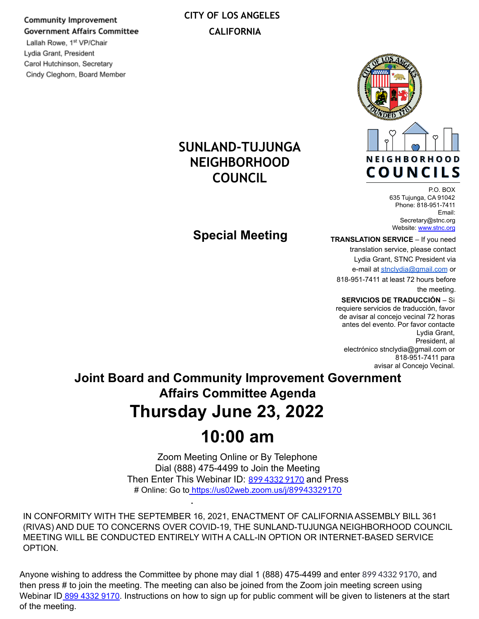### **Community Improvement Government Affairs Committee**

Lallah Rowe, 1st VP/Chair Lydia Grant, President Carol Hutchinson, Secretary Cindy Cleghorn, Board Member

## **SUNLAND-TUJUNGA NEIGHBORHOOD COUNCIL**

## **Special Meeting**



P.O. BOX 635 Tujunga, CA 91042 Phone: 818-951-7411 Email: [Secretary@stnc.org](mailto:Secretary@stnc.org) Website: [www.stnc.org](http://www.stnc.org/)

**TRANSLATION SERVICE** – If you need

translation service, please contact Lydia Grant, STNC President via e-mail at [stnclydia@gmail.com](mailto:stnclydia@gmail.com) or 818-951-7411 at least 72 hours before

the meeting.

**SERVICIOS DE TRADUCCIÓN** – Si

requiere servicios de traducción, favor de avisar al concejo vecinal 72 horas antes del evento. Por favor contacte Lydia Grant, President, al electrónico [stnclydia@gmail.com](mailto:stnclydia@gmail.com) or 818-951-7411 para avisar al Concejo Vecinal.

**Joint Board and Community Improvement Government Affairs Committee Agenda Thursday June 23, 2022**

# **10:00 am**

Zoom Meeting Online or By Telephone Dial (888) 475-4499 to Join the Meeting Then Enter This Webinar ID: [899 4332 9170](https://us02web.zoom.us/j/89943329170) and Press # Online: Go to [https://us02web.zoom.us/j/](https://us02web.zoom.us/j/89943329170)89943329170

IN CONFORMITY WITH THE SEPTEMBER 16, 2021, ENACTMENT OF CALIFORNIA ASSEMBLY BILL 361 (RIVAS) AND DUE TO CONCERNS OVER COVID-19, THE SUNLAND-TUJUNGA NEIGHBORHOOD COUNCIL MEETING WILL BE CONDUCTED ENTIRELY WITH A CALL-IN OPTION OR INTERNET-BASED SERVICE OPTION.

Anyone wishing to address the Committee by phone may dial 1 (888) 475-4499 and enter 899 4332 9170, and then press # to join the meeting. The meeting can also be joined from the Zoom join meeting screen using Webinar ID [899 4332 9170](https://us02web.zoom.us/j/89943329170). Instructions on how to sign up for public comment will be given to listeners at the start of the meeting.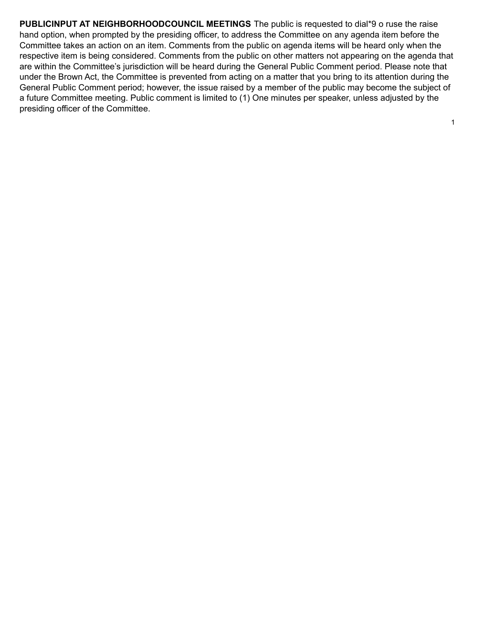**PUBLICINPUT AT NEIGHBORHOODCOUNCIL MEETINGS** The public is requested to dial\*9 o ruse the raise hand option, when prompted by the presiding officer, to address the Committee on any agenda item before the Committee takes an action on an item. Comments from the public on agenda items will be heard only when the respective item is being considered. Comments from the public on other matters not appearing on the agenda that are within the Committee's jurisdiction will be heard during the General Public Comment period. Please note that under the Brown Act, the Committee is prevented from acting on a matter that you bring to its attention during the General Public Comment period; however, the issue raised by a member of the public may become the subject of a future Committee meeting. Public comment is limited to (1) One minutes per speaker, unless adjusted by the presiding officer of the Committee.

1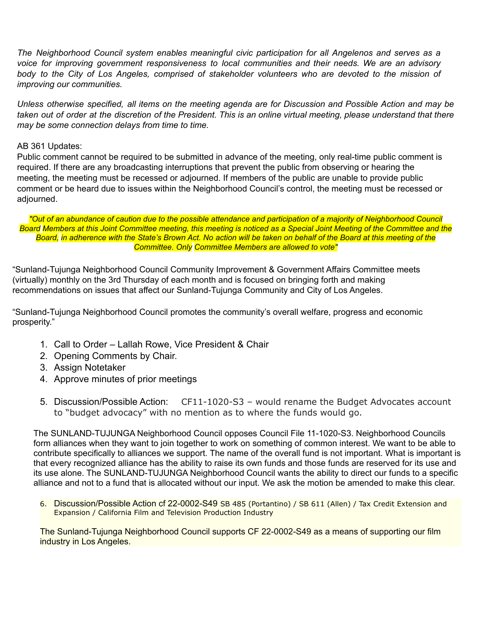*The Neighborhood Council system enables meaningful civic participation for all Angelenos and serves as a voice for improving government responsiveness to local communities and their needs. We are an advisory body to the City of Los Angeles, comprised of stakeholder volunteers who are devoted to the mission of improving our communities.*

*Unless otherwise specified, all items on the meeting agenda are for Discussion and Possible Action and may be taken out of order at the discretion of the President. This is an online virtual meeting, please understand that there may be some connection delays from time to time.*

#### AB 361 Updates:

Public comment cannot be required to be submitted in advance of the meeting, only real-time public comment is required. If there are any broadcasting interruptions that prevent the public from observing or hearing the meeting, the meeting must be recessed or adjourned. If members of the public are unable to provide public comment or be heard due to issues within the Neighborhood Council's control, the meeting must be recessed or adjourned.

*"Out of an abundance of caution due to the possible attendance and participation of a majority of Neighborhood Council Board Members at this Joint Committee meeting, this meeting is noticed as a Special Joint Meeting of the Committee and the Board, in adherence with the State's Brown Act. No action will be taken on behalf of the Board at this meeting of the Committee. Only Committee Members are allowed to vote"*

"Sunland-Tujunga Neighborhood Council Community Improvement & Government Affairs Committee meets (virtually) monthly on the 3rd Thursday of each month and is focused on bringing forth and making recommendations on issues that affect our Sunland-Tujunga Community and City of Los Angeles.

"Sunland-Tujunga Neighborhood Council promotes the community's overall welfare, progress and economic prosperity."

- 1. Call to Order Lallah Rowe, Vice President & Chair
- 2. Opening Comments by Chair.
- 3. Assign Notetaker
- 4. Approve minutes of prior meetings
- 5. Discussion/Possible Action: CF11-1020-S3 would rename the Budget Advocates account to "budget advocacy" with no mention as to where the funds would go.

The SUNLAND-TUJUNGA Neighborhood Council opposes Council File 11-1020-S3. Neighborhood Councils form alliances when they want to join together to work on something of common interest. We want to be able to contribute specifically to alliances we support. The name of the overall fund is not important. What is important is that every recognized alliance has the ability to raise its own funds and those funds are reserved for its use and its use alone. The SUNLAND-TUJUNGA Neighborhood Council wants the ability to direct our funds to a specific alliance and not to a fund that is allocated without our input. We ask the motion be amended to make this clear.

6. Discussion/Possible Action cf 22-0002-S49 SB 485 (Portantino) / SB 611 (Allen) / Tax Credit Extension and Expansion / California Film and Television Production Industry

The Sunland-Tujunga Neighborhood Council supports CF 22-0002-S49 as a means of supporting our film industry in Los Angeles.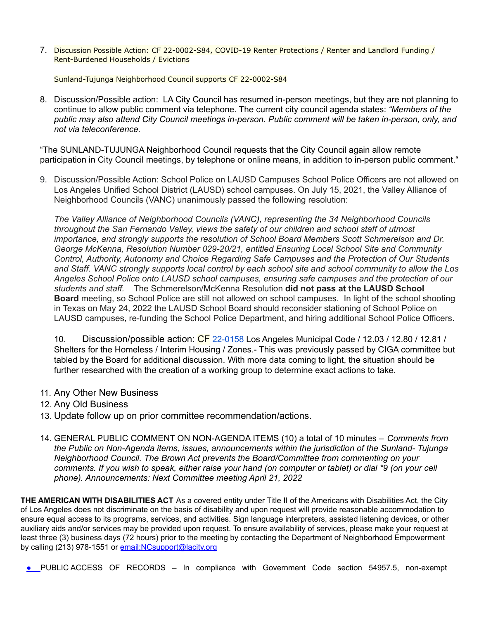7. Discussion Possible Action: CF 22-0002-S84, COVID-19 Renter Protections / Renter and Landlord Funding / Rent-Burdened Households / Evictions

Sunland-Tujunga Neighborhood Council supports CF 22-0002-S84

8. Discussion/Possible action: LA City Council has resumed in-person meetings, but they are not planning to continue to allow public comment via telephone. The current city council agenda states: *"Members of the public may also attend City Council meetings in-person. Public comment will be taken in-person, only, and not via teleconference.*

"The SUNLAND-TUJUNGA Neighborhood Council requests that the City Council again allow remote participation in City Council meetings, by telephone or online means, in addition to in-person public comment."

9. Discussion/Possible Action: School Police on LAUSD Campuses School Police Officers are not allowed on Los Angeles Unified School District (LAUSD) school campuses. On July 15, 2021, the Valley Alliance of Neighborhood Councils (VANC) unanimously passed the following resolution:

*The Valley Alliance of Neighborhood Councils (VANC), representing the 34 Neighborhood Councils throughout the San Fernando Valley, views the safety of our children and school staff of utmost importance, and strongly supports the resolution of School Board Members Scott Schmerelson and Dr. George McKenna, Resolution Number 029-20/21, entitled Ensuring Local School Site and Community Control, Authority, Autonomy and Choice Regarding Safe Campuses and the Protection of Our Students and Staff. VANC strongly supports local control by each school site and school community to allow the Los Angeles School Police onto LAUSD school campuses, ensuring safe campuses and the protection of our students and staff.* The Schmerelson/McKenna Resolution **did not pass at the LAUSD School Board** meeting, so School Police are still not allowed on school campuses. In light of the school shooting in Texas on May 24, 2022 the LAUSD School Board should reconsider stationing of School Police on LAUSD campuses, re-funding the School Police Department, and hiring additional School Police Officers.

10. Discussion/possible action: CF 22-0158 Los Angeles Municipal Code / 12.03 / 12.80 / 12.81 / Shelters for the Homeless / Interim Housing / Zones.- This was previously passed by CIGA committee but tabled by the Board for additional discussion. With more data coming to light, the situation should be further researched with the creation of a working group to determine exact actions to take.

- 11. Any Other New Business
- 12. Any Old Business
- 13. Update follow up on prior committee recommendation/actions.
- 14. GENERAL PUBLIC COMMENT ON NON-AGENDA ITEMS (10) a total of 10 minutes *Comments from the Public on Non-Agenda items, issues, announcements within the jurisdiction of the Sunland- Tujunga Neighborhood Council. The Brown Act prevents the Board/Committee from commenting on your comments. If you wish to speak, either raise your hand (on computer or tablet) or dial \*9 (on your cell phone). Announcements: Next Committee meeting April 21, 2022*

**THE AMERICAN WITH DISABILITIES ACT** As a covered entity under Title II of the Americans with Disabilities Act, the City of Los Angeles does not discriminate on the basis of disability and upon request will provide reasonable accommodation to ensure equal access to its programs, services, and activities. Sign language interpreters, assisted listening devices, or other auxiliary aids and/or services may be provided upon request. To ensure availability of services, please make your request at least three (3) business days (72 hours) prior to the meeting by contacting the Department of Neighborhood Empowerment by calling (213) 978-1551 or email: NCsupport@lacity.org

● PUBLIC ACCESS OF RECORDS – In compliance with Government Code section 54957.5, non-exempt